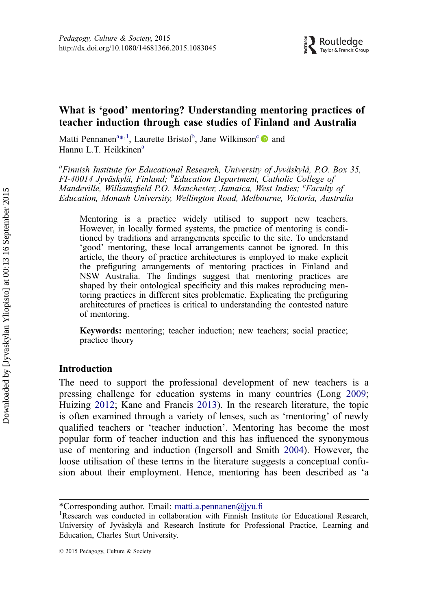

# What is 'good' mentoring? Understanding mentoring practices of teacher induction through case studies of Finland and Australia

Matti Pennanen<sup>a\*, 1</sup>, Laurette Bristol<sup>b</sup>, Jane Wilkinson<sup>c</sup> <sup>1</sup> and Hannu L.T. Heikkinen<sup>a</sup>

<sup>a</sup>Finnish Institute for Educational Research, University of Jyväskylä, P.O. Box 35, FI-40014 Jyväskylä, Finland; <sup>b</sup>Education Department, Catholic College of Mandeville, Williamsfield P.O. Manchester, Jamaica, West Indies; <sup>c</sup>Faculty of Education, Monash University, Wellington Road, Melbourne, Victoria, Australia

Mentoring is a practice widely utilised to support new teachers. However, in locally formed systems, the practice of mentoring is conditioned by traditions and arrangements specific to the site. To understand 'good' mentoring, these local arrangements cannot be ignored. In this article, the theory of practice architectures is employed to make explicit the prefiguring arrangements of mentoring practices in Finland and NSW Australia. The findings suggest that mentoring practices are shaped by their ontological specificity and this makes reproducing mentoring practices in different sites problematic. Explicating the prefiguring architectures of practices is critical to understanding the contested nature of mentoring.

Keywords: mentoring; teacher induction; new teachers; social practice; practice theory

#### Introduction

The need to support the professional development of new teachers is a pressing challenge for education systems in many countries (Long [2009](#page-25-0); Huizing [2012](#page-24-0); Kane and Francis [2013](#page-24-0)). In the research literature, the topic is often examined through a variety of lenses, such as 'mentoring' of newly qualified teachers or 'teacher induction'. Mentoring has become the most popular form of teacher induction and this has influenced the synonymous use of mentoring and induction (Ingersoll and Smith [2004](#page-24-0)). However, the loose utilisation of these terms in the literature suggests a conceptual confusion about their employment. Hence, mentoring has been described as 'a

<sup>\*</sup>Corresponding author. Email: [matti.a.pennanen@jyu.](mailto:matti.a.pennanen@jyu.fi)fi <sup>1</sup>

<sup>&</sup>lt;sup>1</sup>Research was conducted in collaboration with Finnish Institute for Educational Research, University of Jyväskylä and Research Institute for Professional Practice, Learning and Education, Charles Sturt University.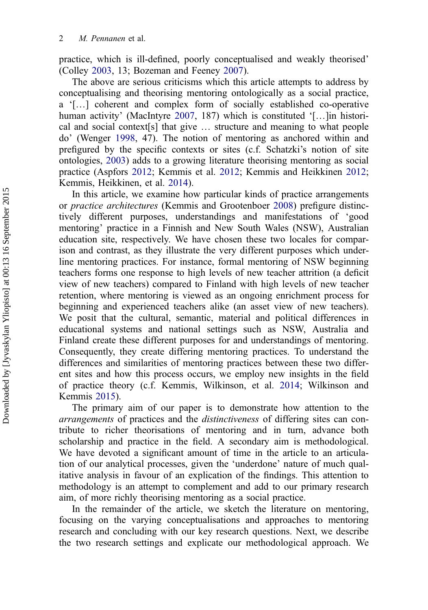practice, which is ill-defined, poorly conceptualised and weakly theorised' (Colley [2003,](#page-24-0) 13; Bozeman and Feeney [2007\)](#page-23-0).

The above are serious criticisms which this article attempts to address by conceptualising and theorising mentoring ontologically as a social practice, a '[…] coherent and complex form of socially established co-operative human activity' (MacIntyre [2007](#page-25-0), 187) which is constituted '[...]in historical and social context[s] that give … structure and meaning to what people do' (Wenger [1998,](#page-26-0) 47). The notion of mentoring as anchored within and prefigured by the specific contexts or sites (c.f. Schatzki's notion of site ontologies, [2003](#page-26-0)) adds to a growing literature theorising mentoring as social practice (Aspfors [2012](#page-23-0); Kemmis et al. [2012](#page-25-0); Kemmis and Heikkinen [2012](#page-25-0); Kemmis, Heikkinen, et al. [2014\)](#page-25-0).

In this article, we examine how particular kinds of practice arrangements or practice architectures (Kemmis and Grootenboer [2008](#page-25-0)) prefigure distinctively different purposes, understandings and manifestations of 'good mentoring' practice in a Finnish and New South Wales (NSW), Australian education site, respectively. We have chosen these two locales for comparison and contrast, as they illustrate the very different purposes which underline mentoring practices. For instance, formal mentoring of NSW beginning teachers forms one response to high levels of new teacher attrition (a deficit view of new teachers) compared to Finland with high levels of new teacher retention, where mentoring is viewed as an ongoing enrichment process for beginning and experienced teachers alike (an asset view of new teachers). We posit that the cultural, semantic, material and political differences in educational systems and national settings such as NSW, Australia and Finland create these different purposes for and understandings of mentoring. Consequently, they create differing mentoring practices. To understand the differences and similarities of mentoring practices between these two different sites and how this process occurs, we employ new insights in the field of practice theory (c.f. Kemmis, Wilkinson, et al. [2014;](#page-25-0) Wilkinson and Kemmis [2015](#page-26-0)).

The primary aim of our paper is to demonstrate how attention to the arrangements of practices and the distinctiveness of differing sites can contribute to richer theorisations of mentoring and in turn, advance both scholarship and practice in the field. A secondary aim is methodological. We have devoted a significant amount of time in the article to an articulation of our analytical processes, given the 'underdone' nature of much qualitative analysis in favour of an explication of the findings. This attention to methodology is an attempt to complement and add to our primary research aim, of more richly theorising mentoring as a social practice.

In the remainder of the article, we sketch the literature on mentoring, focusing on the varying conceptualisations and approaches to mentoring research and concluding with our key research questions. Next, we describe the two research settings and explicate our methodological approach. We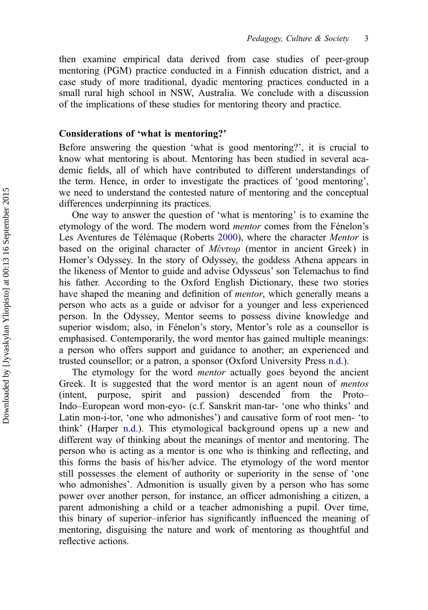then examine empirical data derived from case studies of peer-group mentoring (PGM) practice conducted in a Finnish education district, and a case study of more traditional, dyadic mentoring practices conducted in a small rural high school in NSW, Australia. We conclude with a discussion of the implications of these studies for mentoring theory and practice.

#### Considerations of 'what is mentoring?'

Before answering the question 'what is good mentoring?', it is crucial to know what mentoring is about. Mentoring has been studied in several academic fields, all of which have contributed to different understandings of the term. Hence, in order to investigate the practices of 'good mentoring', we need to understand the contested nature of mentoring and the conceptual differences underpinning its practices.

One way to answer the question of 'what is mentoring' is to examine the etymology of the word. The modern word mentor comes from the Fénelon's Les Aventures de Télémaque (Roberts [2000](#page-26-0)), where the character Mentor is based on the original character of  $Mév\tau\omega\rho$  (mentor in ancient Greek) in Homer's Odyssey. In the story of Odyssey, the goddess Athena appears in the likeness of Mentor to guide and advise Odysseus' son Telemachus to find his father. According to the Oxford English Dictionary, these two stories have shaped the meaning and definition of mentor, which generally means a person who acts as a guide or advisor for a younger and less experienced person. In the Odyssey, Mentor seems to possess divine knowledge and superior wisdom; also, in Fénelon's story, Mentor's role as a counsellor is emphasised. Contemporarily, the word mentor has gained multiple meanings: a person who offers support and guidance to another; an experienced and trusted counsellor; or a patron, a sponsor (Oxford University Press [n.d.\)](#page-25-0).

The etymology for the word *mentor* actually goes beyond the ancient Greek. It is suggested that the word mentor is an agent noun of *mentos* (intent, purpose, spirit and passion) descended from the Proto– Indo–European word mon-eyo- (c.f. Sanskrit man-tar- 'one who thinks' and Latin mon-i-tor, 'one who admonishes') and causative form of root men- 'to think' (Harper [n.d.](#page-24-0)). This etymological background opens up a new and different way of thinking about the meanings of mentor and mentoring. The person who is acting as a mentor is one who is thinking and reflecting, and this forms the basis of his/her advice. The etymology of the word mentor still possesses the element of authority or superiority in the sense of 'one who admonishes'. Admonition is usually given by a person who has some power over another person, for instance, an officer admonishing a citizen, a parent admonishing a child or a teacher admonishing a pupil. Over time, this binary of superior–inferior has significantly influenced the meaning of mentoring, disguising the nature and work of mentoring as thoughtful and reflective actions.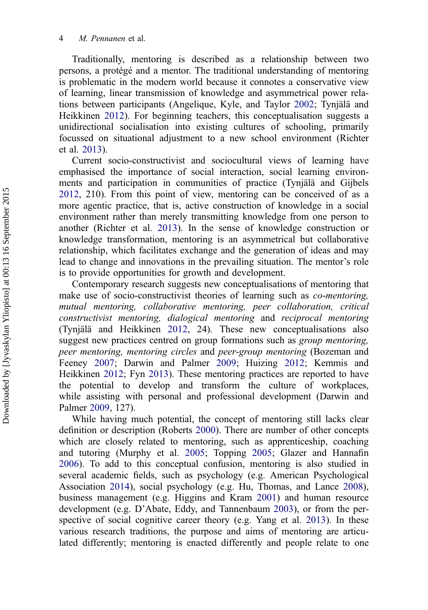Traditionally, mentoring is described as a relationship between two persons, a protégé and a mentor. The traditional understanding of mentoring is problematic in the modern world because it connotes a conservative view of learning, linear transmission of knowledge and asymmetrical power relations between participants (Angelique, Kyle, and Taylor [2002](#page-23-0); Tynjälä and Heikkinen [2012](#page-26-0)). For beginning teachers, this conceptualisation suggests a unidirectional socialisation into existing cultures of schooling, primarily focussed on situational adjustment to a new school environment (Richter et al. [2013\)](#page-26-0).

Current socio-constructivist and sociocultural views of learning have emphasised the importance of social interaction, social learning environments and participation in communities of practice (Tynjälä and Gijbels [2012,](#page-26-0) 210). From this point of view, mentoring can be conceived of as a more agentic practice, that is, active construction of knowledge in a social environment rather than merely transmitting knowledge from one person to another (Richter et al. [2013\)](#page-26-0). In the sense of knowledge construction or knowledge transformation, mentoring is an asymmetrical but collaborative relationship, which facilitates exchange and the generation of ideas and may lead to change and innovations in the prevailing situation. The mentor's role is to provide opportunities for growth and development.

Contemporary research suggests new conceptualisations of mentoring that make use of socio-constructivist theories of learning such as co-mentoring, mutual mentoring, collaborative mentoring, peer collaboration, critical constructivist mentoring, dialogical mentoring and reciprocal mentoring (Tynjälä and Heikkinen [2012](#page-26-0), 24). These new conceptualisations also suggest new practices centred on group formations such as *group mentoring*, peer mentoring, mentoring circles and peer-group mentoring (Bozeman and Feeney [2007;](#page-23-0) Darwin and Palmer [2009](#page-24-0); Huizing [2012](#page-24-0); Kemmis and Heikkinen [2012](#page-25-0); Fyn [2013](#page-24-0)). These mentoring practices are reported to have the potential to develop and transform the culture of workplaces, while assisting with personal and professional development (Darwin and Palmer [2009](#page-24-0), 127).

While having much potential, the concept of mentoring still lacks clear definition or description (Roberts [2000\)](#page-26-0). There are number of other concepts which are closely related to mentoring, such as apprenticeship, coaching and tutoring (Murphy et al. [2005](#page-25-0); Topping [2005;](#page-26-0) Glazer and Hannafin [2006\)](#page-24-0). To add to this conceptual confusion, mentoring is also studied in several academic fields, such as psychology (e.g. American Psychological Association [2014\)](#page-23-0), social psychology (e.g. Hu, Thomas, and Lance [2008\)](#page-24-0), business management (e.g. Higgins and Kram [2001](#page-24-0)) and human resource development (e.g. D'Abate, Eddy, and Tannenbaum [2003\)](#page-24-0), or from the perspective of social cognitive career theory (e.g. Yang et al. [2013\)](#page-26-0). In these various research traditions, the purpose and aims of mentoring are articulated differently; mentoring is enacted differently and people relate to one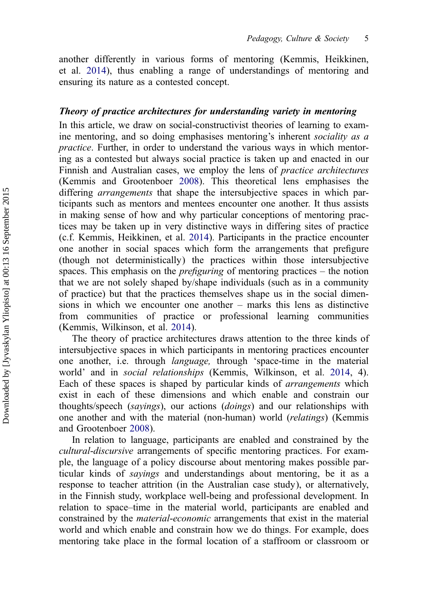another differently in various forms of mentoring (Kemmis, Heikkinen, et al. [2014\)](#page-25-0), thus enabling a range of understandings of mentoring and ensuring its nature as a contested concept.

## Theory of practice architectures for understanding variety in mentoring

In this article, we draw on social-constructivist theories of learning to examine mentoring, and so doing emphasises mentoring's inherent sociality as a practice. Further, in order to understand the various ways in which mentoring as a contested but always social practice is taken up and enacted in our Finnish and Australian cases, we employ the lens of practice architectures (Kemmis and Grootenboer [2008](#page-25-0)). This theoretical lens emphasises the differing *arrangements* that shape the intersubjective spaces in which participants such as mentors and mentees encounter one another. It thus assists in making sense of how and why particular conceptions of mentoring practices may be taken up in very distinctive ways in differing sites of practice (c.f. Kemmis, Heikkinen, et al. [2014\)](#page-25-0). Participants in the practice encounter one another in social spaces which form the arrangements that prefigure (though not deterministically) the practices within those intersubjective spaces. This emphasis on the *prefiguring* of mentoring practices – the notion that we are not solely shaped by/shape individuals (such as in a community of practice) but that the practices themselves shape us in the social dimensions in which we encounter one another – marks this lens as distinctive from communities of practice or professional learning communities (Kemmis, Wilkinson, et al. [2014](#page-25-0)).

The theory of practice architectures draws attention to the three kinds of intersubjective spaces in which participants in mentoring practices encounter one another, i.e. through language, through 'space-time in the material world' and in social relationships (Kemmis, Wilkinson, et al. [2014,](#page-25-0) 4). Each of these spaces is shaped by particular kinds of arrangements which exist in each of these dimensions and which enable and constrain our thoughts/speech (sayings), our actions (doings) and our relationships with one another and with the material (non-human) world (relatings) (Kemmis and Grootenboer [2008\)](#page-25-0).

In relation to language, participants are enabled and constrained by the cultural-discursive arrangements of specific mentoring practices. For example, the language of a policy discourse about mentoring makes possible particular kinds of sayings and understandings about mentoring, be it as a response to teacher attrition (in the Australian case study), or alternatively, in the Finnish study, workplace well-being and professional development. In relation to space–time in the material world, participants are enabled and constrained by the material-economic arrangements that exist in the material world and which enable and constrain how we do things. For example, does mentoring take place in the formal location of a staffroom or classroom or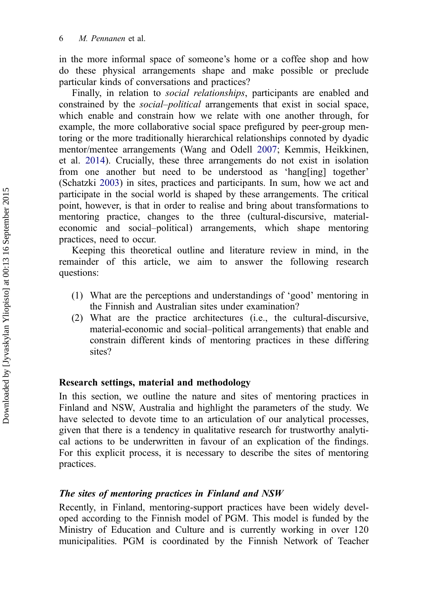in the more informal space of someone's home or a coffee shop and how do these physical arrangements shape and make possible or preclude particular kinds of conversations and practices?

Finally, in relation to *social relationships*, participants are enabled and constrained by the social–political arrangements that exist in social space, which enable and constrain how we relate with one another through, for example, the more collaborative social space prefigured by peer-group mentoring or the more traditionally hierarchical relationships connoted by dyadic mentor/mentee arrangements (Wang and Odell [2007](#page-26-0); Kemmis, Heikkinen, et al. [2014](#page-25-0)). Crucially, these three arrangements do not exist in isolation from one another but need to be understood as 'hang[ing] together' (Schatzki [2003\)](#page-26-0) in sites, practices and participants. In sum, how we act and participate in the social world is shaped by these arrangements. The critical point, however, is that in order to realise and bring about transformations to mentoring practice, changes to the three (cultural-discursive, materialeconomic and social–political) arrangements, which shape mentoring practices, need to occur.

Keeping this theoretical outline and literature review in mind, in the remainder of this article, we aim to answer the following research questions:

- (1) What are the perceptions and understandings of 'good' mentoring in the Finnish and Australian sites under examination?
- (2) What are the practice architectures (i.e., the cultural-discursive, material-economic and social–political arrangements) that enable and constrain different kinds of mentoring practices in these differing sites?

# Research settings, material and methodology

In this section, we outline the nature and sites of mentoring practices in Finland and NSW, Australia and highlight the parameters of the study. We have selected to devote time to an articulation of our analytical processes, given that there is a tendency in qualitative research for trustworthy analytical actions to be underwritten in favour of an explication of the findings. For this explicit process, it is necessary to describe the sites of mentoring practices.

# The sites of mentoring practices in Finland and NSW

Recently, in Finland, mentoring-support practices have been widely developed according to the Finnish model of PGM. This model is funded by the Ministry of Education and Culture and is currently working in over 120 municipalities. PGM is coordinated by the Finnish Network of Teacher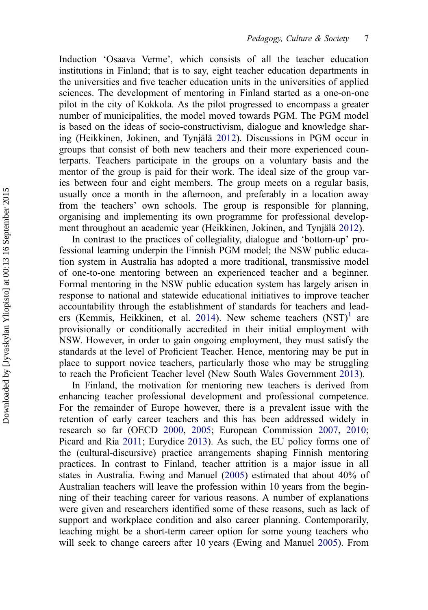Induction 'Osaava Verme', which consists of all the teacher education institutions in Finland; that is to say, eight teacher education departments in the universities and five teacher education units in the universities of applied sciences. The development of mentoring in Finland started as a one-on-one pilot in the city of Kokkola. As the pilot progressed to encompass a greater number of municipalities, the model moved towards PGM. The PGM model is based on the ideas of socio-constructivism, dialogue and knowledge sharing (Heikkinen, Jokinen, and Tynjälä [2012](#page-24-0)). Discussions in PGM occur in groups that consist of both new teachers and their more experienced counterparts. Teachers participate in the groups on a voluntary basis and the mentor of the group is paid for their work. The ideal size of the group varies between four and eight members. The group meets on a regular basis, usually once a month in the afternoon, and preferably in a location away from the teachers' own schools. The group is responsible for planning, organising and implementing its own programme for professional development throughout an academic year (Heikkinen, Jokinen, and Tynjälä [2012\)](#page-24-0).

In contrast to the practices of collegiality, dialogue and 'bottom-up' professional learning underpin the Finnish PGM model; the NSW public education system in Australia has adopted a more traditional, transmissive model of one-to-one mentoring between an experienced teacher and a beginner. Formal mentoring in the NSW public education system has largely arisen in response to national and statewide educational initiatives to improve teacher accountability through the establishment of standards for teachers and lead-ers (Kemmis, Heikkinen, et al. [2014\)](#page-25-0). New scheme teachers  $(NST)^{1}$  $(NST)^{1}$  $(NST)^{1}$  are provisionally or conditionally accredited in their initial employment with NSW. However, in order to gain ongoing employment, they must satisfy the standards at the level of Proficient Teacher. Hence, mentoring may be put in place to support novice teachers, particularly those who may be struggling to reach the Proficient Teacher level (New South Wales Government [2013](#page-25-0)).

In Finland, the motivation for mentoring new teachers is derived from enhancing teacher professional development and professional competence. For the remainder of Europe however, there is a prevalent issue with the retention of early career teachers and this has been addressed widely in research so far (OECD [2000](#page-25-0), [2005;](#page-25-0) European Commission [2007,](#page-24-0) [2010](#page-24-0); Picard and Ria [2011](#page-26-0); Eurydice [2013](#page-24-0)). As such, the EU policy forms one of the (cultural-discursive) practice arrangements shaping Finnish mentoring practices. In contrast to Finland, teacher attrition is a major issue in all states in Australia. Ewing and Manuel [\(2005](#page-24-0)) estimated that about 40% of Australian teachers will leave the profession within 10 years from the beginning of their teaching career for various reasons. A number of explanations were given and researchers identified some of these reasons, such as lack of support and workplace condition and also career planning. Contemporarily, teaching might be a short-term career option for some young teachers who will seek to change careers after 10 years (Ewing and Manuel [2005\)](#page-24-0). From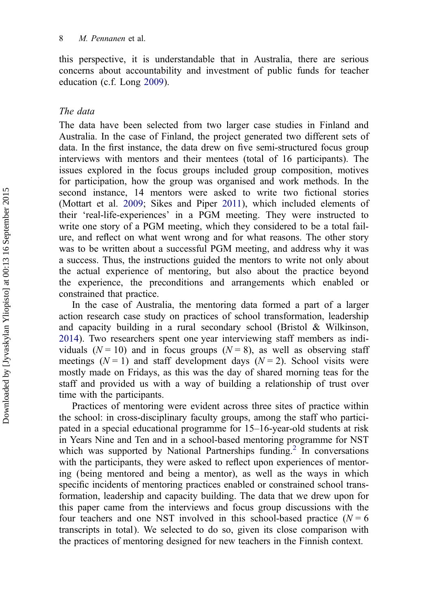this perspective, it is understandable that in Australia, there are serious concerns about accountability and investment of public funds for teacher education (c.f. Long [2009\)](#page-25-0).

## The data

The data have been selected from two larger case studies in Finland and Australia. In the case of Finland, the project generated two different sets of data. In the first instance, the data drew on five semi-structured focus group interviews with mentors and their mentees (total of 16 participants). The issues explored in the focus groups included group composition, motives for participation, how the group was organised and work methods. In the second instance, 14 mentors were asked to write two fictional stories (Mottart et al. [2009](#page-25-0); Sikes and Piper [2011\)](#page-26-0), which included elements of their 'real-life-experiences' in a PGM meeting. They were instructed to write one story of a PGM meeting, which they considered to be a total failure, and reflect on what went wrong and for what reasons. The other story was to be written about a successful PGM meeting, and address why it was a success. Thus, the instructions guided the mentors to write not only about the actual experience of mentoring, but also about the practice beyond the experience, the preconditions and arrangements which enabled or constrained that practice.

In the case of Australia, the mentoring data formed a part of a larger action research case study on practices of school transformation, leadership and capacity building in a rural secondary school (Bristol  $\&$  Wilkinson, [2014\)](#page-23-0). Two researchers spent one year interviewing staff members as individuals  $(N = 10)$  and in focus groups  $(N = 8)$ , as well as observing staff meetings ( $N = 1$ ) and staff development days ( $N = 2$ ). School visits were mostly made on Fridays, as this was the day of shared morning teas for the staff and provided us with a way of building a relationship of trust over time with the participants.

Practices of mentoring were evident across three sites of practice within the school: in cross-disciplinary faculty groups, among the staff who participated in a special educational programme for 15–16-year-old students at risk in Years Nine and Ten and in a school-based mentoring programme for NST which was supported by National Partnerships funding.<sup>[2](#page-23-0)</sup> In conversations with the participants, they were asked to reflect upon experiences of mentoring (being mentored and being a mentor), as well as the ways in which specific incidents of mentoring practices enabled or constrained school transformation, leadership and capacity building. The data that we drew upon for this paper came from the interviews and focus group discussions with the four teachers and one NST involved in this school-based practice  $(N = 6$ transcripts in total). We selected to do so, given its close comparison with the practices of mentoring designed for new teachers in the Finnish context.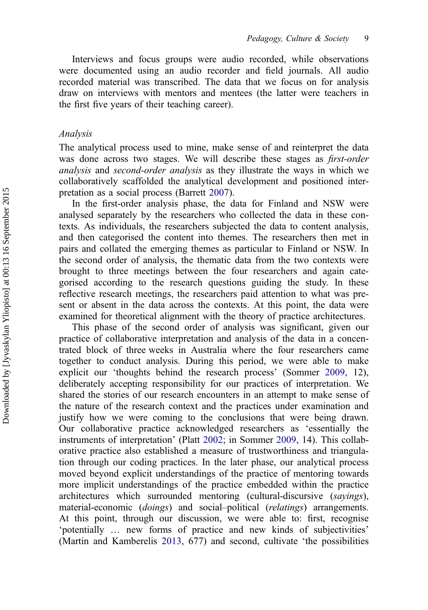Interviews and focus groups were audio recorded, while observations were documented using an audio recorder and field journals. All audio recorded material was transcribed. The data that we focus on for analysis draw on interviews with mentors and mentees (the latter were teachers in the first five years of their teaching career).

#### Analysis

The analytical process used to mine, make sense of and reinterpret the data was done across two stages. We will describe these stages as *first-order* analysis and second-order analysis as they illustrate the ways in which we collaboratively scaffolded the analytical development and positioned interpretation as a social process (Barrett [2007](#page-23-0)).

In the first-order analysis phase, the data for Finland and NSW were analysed separately by the researchers who collected the data in these contexts. As individuals, the researchers subjected the data to content analysis, and then categorised the content into themes. The researchers then met in pairs and collated the emerging themes as particular to Finland or NSW. In the second order of analysis, the thematic data from the two contexts were brought to three meetings between the four researchers and again categorised according to the research questions guiding the study. In these reflective research meetings, the researchers paid attention to what was present or absent in the data across the contexts. At this point, the data were examined for theoretical alignment with the theory of practice architectures.

This phase of the second order of analysis was significant, given our practice of collaborative interpretation and analysis of the data in a concentrated block of three weeks in Australia where the four researchers came together to conduct analysis. During this period, we were able to make explicit our 'thoughts behind the research process' (Sommer [2009,](#page-26-0) 12), deliberately accepting responsibility for our practices of interpretation. We shared the stories of our research encounters in an attempt to make sense of the nature of the research context and the practices under examination and justify how we were coming to the conclusions that were being drawn. Our collaborative practice acknowledged researchers as 'essentially the instruments of interpretation' (Platt [2002](#page-26-0); in Sommer [2009,](#page-26-0) 14). This collaborative practice also established a measure of trustworthiness and triangulation through our coding practices. In the later phase, our analytical process moved beyond explicit understandings of the practice of mentoring towards more implicit understandings of the practice embedded within the practice architectures which surrounded mentoring (cultural-discursive (sayings), material-economic (doings) and social-political (relatings) arrangements. At this point, through our discussion, we were able to: first, recognise 'potentially … new forms of practice and new kinds of subjectivities' (Martin and Kamberelis [2013](#page-25-0), 677) and second, cultivate 'the possibilities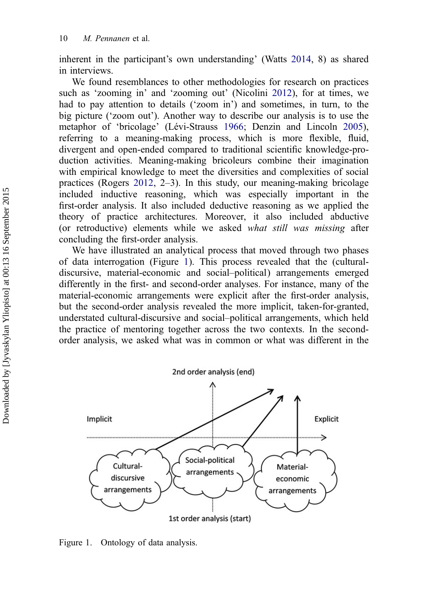inherent in the participant's own understanding' (Watts [2014,](#page-26-0) 8) as shared in interviews.

We found resemblances to other methodologies for research on practices such as 'zooming in' and 'zooming out' (Nicolini [2012\)](#page-25-0), for at times, we had to pay attention to details ('zoom in') and sometimes, in turn, to the big picture ('zoom out'). Another way to describe our analysis is to use the metaphor of 'bricolage' (Lévi-Strauss [1966;](#page-25-0) Denzin and Lincoln [2005\)](#page-24-0), referring to a meaning-making process, which is more flexible, fluid, divergent and open-ended compared to traditional scientific knowledge-production activities. Meaning-making bricoleurs combine their imagination with empirical knowledge to meet the diversities and complexities of social practices (Rogers [2012,](#page-26-0) 2–3). In this study, our meaning-making bricolage included inductive reasoning, which was especially important in the first-order analysis. It also included deductive reasoning as we applied the theory of practice architectures. Moreover, it also included abductive (or retroductive) elements while we asked what still was missing after concluding the first-order analysis.

We have illustrated an analytical process that moved through two phases of data interrogation (Figure 1). This process revealed that the (culturaldiscursive, material-economic and social–political) arrangements emerged differently in the first- and second-order analyses. For instance, many of the material-economic arrangements were explicit after the first-order analysis, but the second-order analysis revealed the more implicit, taken-for-granted, understated cultural-discursive and social–political arrangements, which held the practice of mentoring together across the two contexts. In the secondorder analysis, we asked what was in common or what was different in the



Figure 1. Ontology of data analysis.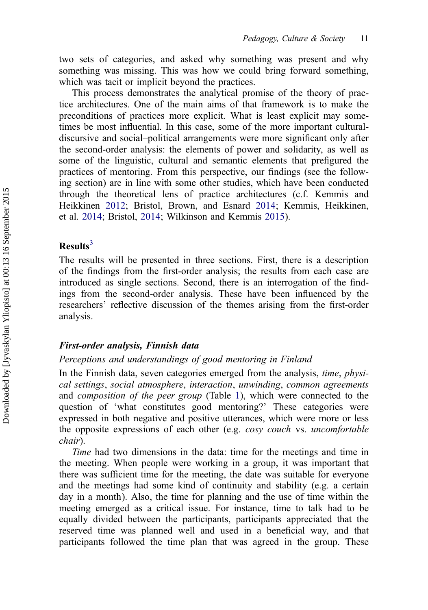two sets of categories, and asked why something was present and why something was missing. This was how we could bring forward something, which was tacit or implicit beyond the practices.

This process demonstrates the analytical promise of the theory of practice architectures. One of the main aims of that framework is to make the preconditions of practices more explicit. What is least explicit may sometimes be most influential. In this case, some of the more important culturaldiscursive and social–political arrangements were more significant only after the second-order analysis: the elements of power and solidarity, as well as some of the linguistic, cultural and semantic elements that prefigured the practices of mentoring. From this perspective, our findings (see the following section) are in line with some other studies, which have been conducted through the theoretical lens of practice architectures (c.f. Kemmis and Heikkinen [2012;](#page-25-0) Bristol, Brown, and Esnard [2014;](#page-23-0) Kemmis, Heikkinen, et al. [2014;](#page-25-0) Bristol, [2014](#page-23-0); Wilkinson and Kemmis [2015](#page-26-0)).

## Results<sup>[3](#page-23-0)</sup>

The results will be presented in three sections. First, there is a description of the findings from the first-order analysis; the results from each case are introduced as single sections. Second, there is an interrogation of the findings from the second-order analysis. These have been influenced by the researchers' reflective discussion of the themes arising from the first-order analysis.

## First-order analysis, Finnish data

#### Perceptions and understandings of good mentoring in Finland

In the Finnish data, seven categories emerged from the analysis, *time*, *physi*cal settings, social atmosphere, interaction, unwinding, common agreements and composition of the peer group (Table [1\)](#page-11-0), which were connected to the question of 'what constitutes good mentoring?' These categories were expressed in both negative and positive utterances, which were more or less the opposite expressions of each other (e.g. cosy couch vs. uncomfortable chair).

Time had two dimensions in the data: time for the meetings and time in the meeting. When people were working in a group, it was important that there was sufficient time for the meeting, the date was suitable for everyone and the meetings had some kind of continuity and stability (e.g. a certain day in a month). Also, the time for planning and the use of time within the meeting emerged as a critical issue. For instance, time to talk had to be equally divided between the participants, participants appreciated that the reserved time was planned well and used in a beneficial way, and that participants followed the time plan that was agreed in the group. These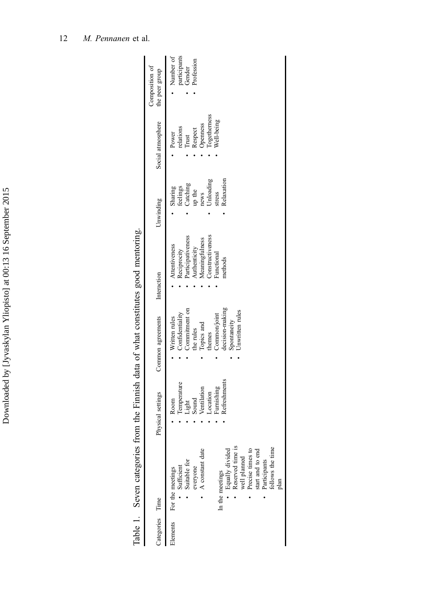Downloaded by [Jyvaskylan Yliopisto] at 00:13 16 September 2015 Downloaded by [Jyvaskylan Yliopisto] at 00:13 16 September 2015

<span id="page-11-0"></span>

|                 | Table 1. Seven categories                                                                                                                                                                                                                   |                                                                                                | from the Finnish data of what constitutes good mentoring.                                                                                                   |                                                                                                                                  |                                                                                        |                                                                                         |                                                   |
|-----------------|---------------------------------------------------------------------------------------------------------------------------------------------------------------------------------------------------------------------------------------------|------------------------------------------------------------------------------------------------|-------------------------------------------------------------------------------------------------------------------------------------------------------------|----------------------------------------------------------------------------------------------------------------------------------|----------------------------------------------------------------------------------------|-----------------------------------------------------------------------------------------|---------------------------------------------------|
| Categories Time |                                                                                                                                                                                                                                             | Physical settings                                                                              | Common agreements                                                                                                                                           | Interaction                                                                                                                      | Unwinding                                                                              | Social atmosphere                                                                       | Composition of<br>the peer group                  |
| Elements        | Equally divided<br>Reserved time is<br>well planned<br>follows the time<br>A constant date<br>Precise times to<br>start and to end<br>Participants<br>Sufficient<br>Suitable for<br>everyone<br>For the meetings<br>In the meetings<br>plan | Refreshments<br>Temperature<br>Ventilation<br>Furnishing<br>Location<br>Sound<br>Room<br>Light | decision-making<br>Commitment on<br>Unwritten rules<br>Confidentiality<br>Common/joint<br>Written rules<br>Spontaneity<br>Topics and<br>the rules<br>themes | Constructiveness<br>Participativeness<br>Meaningfulness<br>Attentiveness<br>Authenticity<br>Reciprocity<br>Functional<br>nethods | Unloading<br>Relaxation<br>Catching<br>feelings<br>Sharing<br>up the<br>stress<br>news | Togetherness<br>Well-being<br>Openness<br>relations<br>Respect<br>Power<br><b>Trust</b> | participants<br>Gender<br>Number of<br>Profession |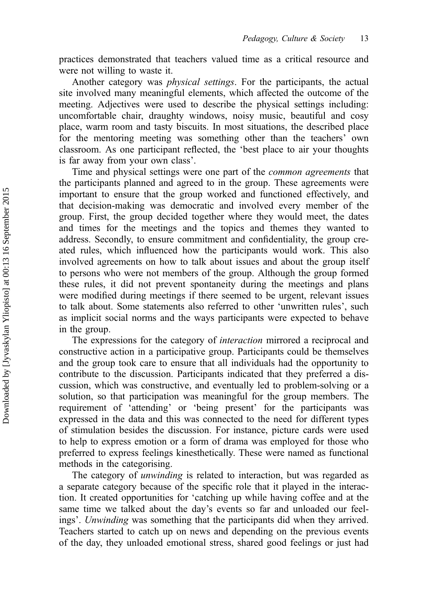practices demonstrated that teachers valued time as a critical resource and were not willing to waste it.

Another category was physical settings. For the participants, the actual site involved many meaningful elements, which affected the outcome of the meeting. Adjectives were used to describe the physical settings including: uncomfortable chair, draughty windows, noisy music, beautiful and cosy place, warm room and tasty biscuits. In most situations, the described place for the mentoring meeting was something other than the teachers' own classroom. As one participant reflected, the 'best place to air your thoughts is far away from your own class'.

Time and physical settings were one part of the common agreements that the participants planned and agreed to in the group. These agreements were important to ensure that the group worked and functioned effectively, and that decision-making was democratic and involved every member of the group. First, the group decided together where they would meet, the dates and times for the meetings and the topics and themes they wanted to address. Secondly, to ensure commitment and confidentiality, the group created rules, which influenced how the participants would work. This also involved agreements on how to talk about issues and about the group itself to persons who were not members of the group. Although the group formed these rules, it did not prevent spontaneity during the meetings and plans were modified during meetings if there seemed to be urgent, relevant issues to talk about. Some statements also referred to other 'unwritten rules', such as implicit social norms and the ways participants were expected to behave in the group.

The expressions for the category of interaction mirrored a reciprocal and constructive action in a participative group. Participants could be themselves and the group took care to ensure that all individuals had the opportunity to contribute to the discussion. Participants indicated that they preferred a discussion, which was constructive, and eventually led to problem-solving or a solution, so that participation was meaningful for the group members. The requirement of 'attending' or 'being present' for the participants was expressed in the data and this was connected to the need for different types of stimulation besides the discussion. For instance, picture cards were used to help to express emotion or a form of drama was employed for those who preferred to express feelings kinesthetically. These were named as functional methods in the categorising.

The category of *unwinding* is related to interaction, but was regarded as a separate category because of the specific role that it played in the interaction. It created opportunities for 'catching up while having coffee and at the same time we talked about the day's events so far and unloaded our feelings'. Unwinding was something that the participants did when they arrived. Teachers started to catch up on news and depending on the previous events of the day, they unloaded emotional stress, shared good feelings or just had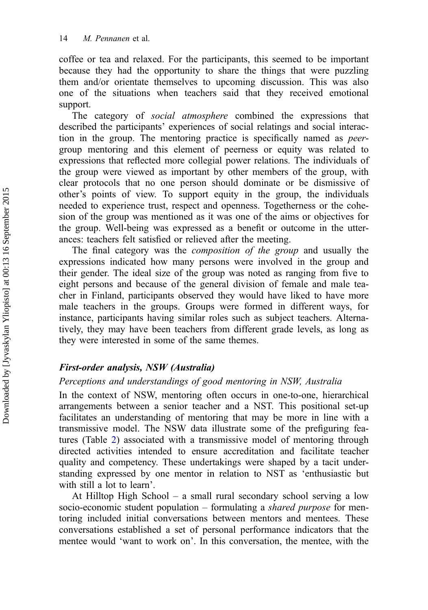coffee or tea and relaxed. For the participants, this seemed to be important because they had the opportunity to share the things that were puzzling them and/or orientate themselves to upcoming discussion. This was also one of the situations when teachers said that they received emotional support.

The category of social atmosphere combined the expressions that described the participants' experiences of social relatings and social interaction in the group. The mentoring practice is specifically named as peergroup mentoring and this element of peerness or equity was related to expressions that reflected more collegial power relations. The individuals of the group were viewed as important by other members of the group, with clear protocols that no one person should dominate or be dismissive of other's points of view. To support equity in the group, the individuals needed to experience trust, respect and openness. Togetherness or the cohesion of the group was mentioned as it was one of the aims or objectives for the group. Well-being was expressed as a benefit or outcome in the utterances: teachers felt satisfied or relieved after the meeting.

The final category was the *composition of the group* and usually the expressions indicated how many persons were involved in the group and their gender. The ideal size of the group was noted as ranging from five to eight persons and because of the general division of female and male teacher in Finland, participants observed they would have liked to have more male teachers in the groups. Groups were formed in different ways, for instance, participants having similar roles such as subject teachers. Alternatively, they may have been teachers from different grade levels, as long as they were interested in some of the same themes.

## First-order analysis, NSW (Australia)

# Perceptions and understandings of good mentoring in NSW, Australia

In the context of NSW, mentoring often occurs in one-to-one, hierarchical arrangements between a senior teacher and a NST. This positional set-up facilitates an understanding of mentoring that may be more in line with a transmissive model. The NSW data illustrate some of the prefiguring features (Table [2](#page-14-0)) associated with a transmissive model of mentoring through directed activities intended to ensure accreditation and facilitate teacher quality and competency. These undertakings were shaped by a tacit understanding expressed by one mentor in relation to NST as 'enthusiastic but with still a lot to learn'.

At Hilltop High School – a small rural secondary school serving a low socio-economic student population – formulating a *shared purpose* for mentoring included initial conversations between mentors and mentees. These conversations established a set of personal performance indicators that the mentee would 'want to work on'. In this conversation, the mentee, with the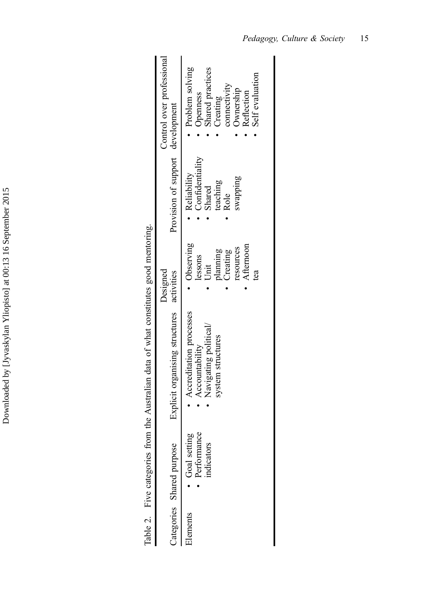<span id="page-14-0"></span>

| Elements | Performance               | Explicit organising structures activities | Observing                                                   | Provision of support development      | Control over professional                                                                  |
|----------|---------------------------|-------------------------------------------|-------------------------------------------------------------|---------------------------------------|--------------------------------------------------------------------------------------------|
|          | · Goal setting            | Accreditation processes                   | lessons                                                     | Confidentiality                       | Problem solving                                                                            |
|          | Categories Shared purpose | Accountability                            | Designed                                                    | Reliability                           | Openness                                                                                   |
|          | ndicators                 | Navigating political<br>system structures | Afternoon<br>resources<br>danning<br>Creating<br>Unit<br>Ea | surddew<br>teaching<br>Shared<br>Role | Shared practices<br>Self evaluation<br>connectivity<br>Ownership<br>Reflection<br>Creating |

|            | l                                                                           |  |
|------------|-----------------------------------------------------------------------------|--|
|            |                                                                             |  |
|            |                                                                             |  |
|            |                                                                             |  |
|            |                                                                             |  |
|            |                                                                             |  |
|            |                                                                             |  |
|            |                                                                             |  |
|            | Ì                                                                           |  |
|            |                                                                             |  |
|            |                                                                             |  |
|            |                                                                             |  |
|            |                                                                             |  |
|            |                                                                             |  |
|            |                                                                             |  |
|            |                                                                             |  |
|            | trailen dete of syket oonstaties mood maantommor<br>$\cdots$ what collision |  |
|            |                                                                             |  |
|            |                                                                             |  |
|            |                                                                             |  |
|            |                                                                             |  |
|            | )<br>}<br>}                                                                 |  |
|            |                                                                             |  |
|            |                                                                             |  |
|            |                                                                             |  |
|            |                                                                             |  |
|            | 22.000 Miles 2010                                                           |  |
|            |                                                                             |  |
|            |                                                                             |  |
|            |                                                                             |  |
|            |                                                                             |  |
|            |                                                                             |  |
|            |                                                                             |  |
|            |                                                                             |  |
|            |                                                                             |  |
|            |                                                                             |  |
|            |                                                                             |  |
|            |                                                                             |  |
|            |                                                                             |  |
|            |                                                                             |  |
|            |                                                                             |  |
|            | with another than the history<br>, a canal                                  |  |
|            |                                                                             |  |
|            |                                                                             |  |
|            |                                                                             |  |
|            |                                                                             |  |
|            | l                                                                           |  |
|            |                                                                             |  |
|            | ;<br>;                                                                      |  |
|            |                                                                             |  |
|            |                                                                             |  |
|            |                                                                             |  |
| '<br> <br> | $\overline{\phantom{a}}$                                                    |  |
|            | ī                                                                           |  |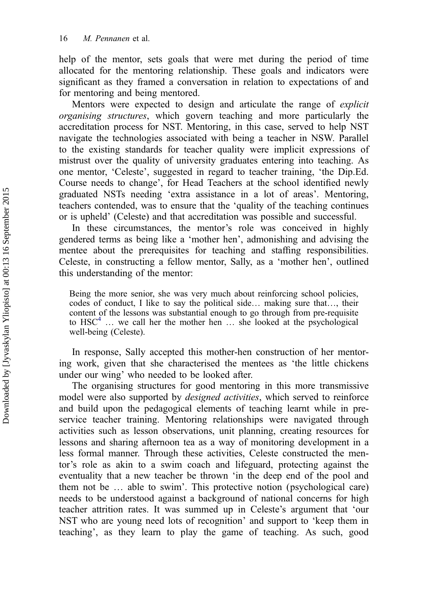help of the mentor, sets goals that were met during the period of time allocated for the mentoring relationship. These goals and indicators were significant as they framed a conversation in relation to expectations of and for mentoring and being mentored.

Mentors were expected to design and articulate the range of explicit organising structures, which govern teaching and more particularly the accreditation process for NST. Mentoring, in this case, served to help NST navigate the technologies associated with being a teacher in NSW. Parallel to the existing standards for teacher quality were implicit expressions of mistrust over the quality of university graduates entering into teaching. As one mentor, 'Celeste', suggested in regard to teacher training, 'the Dip.Ed. Course needs to change', for Head Teachers at the school identified newly graduated NSTs needing 'extra assistance in a lot of areas'. Mentoring, teachers contended, was to ensure that the 'quality of the teaching continues or is upheld' (Celeste) and that accreditation was possible and successful.

In these circumstances, the mentor's role was conceived in highly gendered terms as being like a 'mother hen', admonishing and advising the mentee about the prerequisites for teaching and staffing responsibilities. Celeste, in constructing a fellow mentor, Sally, as a 'mother hen', outlined this understanding of the mentor:

Being the more senior, she was very much about reinforcing school policies, codes of conduct, I like to say the political side… making sure that…, their content of the lessons was substantial enough to go through from pre-requisite to  $HSC<sup>4</sup>$  $HSC<sup>4</sup>$  $HSC<sup>4</sup>$  ... we call her the mother hen ... she looked at the psychological well-being (Celeste).

In response, Sally accepted this mother-hen construction of her mentoring work, given that she characterised the mentees as 'the little chickens under our wing' who needed to be looked after.

The organising structures for good mentoring in this more transmissive model were also supported by *designed activities*, which served to reinforce and build upon the pedagogical elements of teaching learnt while in preservice teacher training. Mentoring relationships were navigated through activities such as lesson observations, unit planning, creating resources for lessons and sharing afternoon tea as a way of monitoring development in a less formal manner. Through these activities, Celeste constructed the mentor's role as akin to a swim coach and lifeguard, protecting against the eventuality that a new teacher be thrown 'in the deep end of the pool and them not be … able to swim'. This protective notion (psychological care) needs to be understood against a background of national concerns for high teacher attrition rates. It was summed up in Celeste's argument that 'our NST who are young need lots of recognition' and support to 'keep them in teaching', as they learn to play the game of teaching. As such, good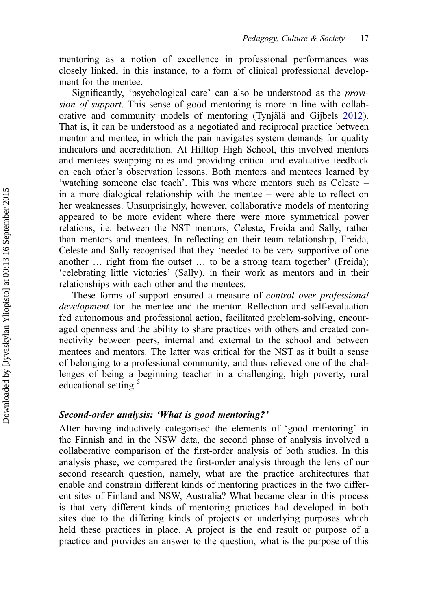mentoring as a notion of excellence in professional performances was closely linked, in this instance, to a form of clinical professional development for the mentee.

Significantly, 'psychological care' can also be understood as the provision of support. This sense of good mentoring is more in line with collaborative and community models of mentoring (Tynjälä and Gijbels [2012\)](#page-26-0). That is, it can be understood as a negotiated and reciprocal practice between mentor and mentee, in which the pair navigates system demands for quality indicators and accreditation. At Hilltop High School, this involved mentors and mentees swapping roles and providing critical and evaluative feedback on each other's observation lessons. Both mentors and mentees learned by 'watching someone else teach'. This was where mentors such as Celeste – in a more dialogical relationship with the mentee – were able to reflect on her weaknesses. Unsurprisingly, however, collaborative models of mentoring appeared to be more evident where there were more symmetrical power relations, i.e. between the NST mentors, Celeste, Freida and Sally, rather than mentors and mentees. In reflecting on their team relationship, Freida, Celeste and Sally recognised that they 'needed to be very supportive of one another … right from the outset … to be a strong team together' (Freida); 'celebrating little victories' (Sally), in their work as mentors and in their relationships with each other and the mentees.

These forms of support ensured a measure of *control over professional* development for the mentee and the mentor. Reflection and self-evaluation fed autonomous and professional action, facilitated problem-solving, encouraged openness and the ability to share practices with others and created connectivity between peers, internal and external to the school and between mentees and mentors. The latter was critical for the NST as it built a sense of belonging to a professional community, and thus relieved one of the challenges of being a beginning teacher in a challenging, high poverty, rural educational setting.<sup>[5](#page-23-0)</sup>

#### Second-order analysis: 'What is good mentoring?'

After having inductively categorised the elements of 'good mentoring' in the Finnish and in the NSW data, the second phase of analysis involved a collaborative comparison of the first-order analysis of both studies. In this analysis phase, we compared the first-order analysis through the lens of our second research question, namely, what are the practice architectures that enable and constrain different kinds of mentoring practices in the two different sites of Finland and NSW, Australia? What became clear in this process is that very different kinds of mentoring practices had developed in both sites due to the differing kinds of projects or underlying purposes which held these practices in place. A project is the end result or purpose of a practice and provides an answer to the question, what is the purpose of this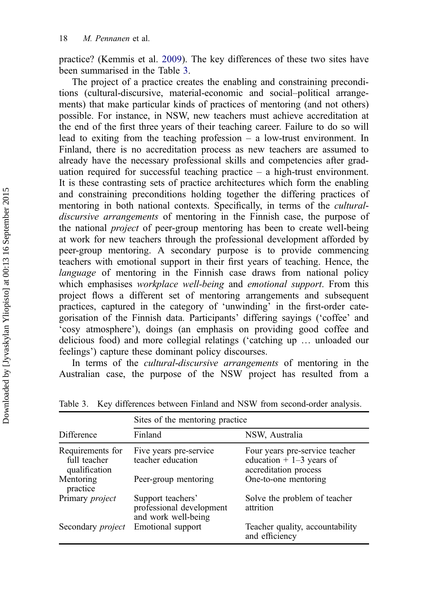practice? (Kemmis et al. [2009\)](#page-25-0). The key differences of these two sites have been summarised in the Table 3.

The project of a practice creates the enabling and constraining preconditions (cultural-discursive, material-economic and social–political arrangements) that make particular kinds of practices of mentoring (and not others) possible. For instance, in NSW, new teachers must achieve accreditation at the end of the first three years of their teaching career. Failure to do so will lead to exiting from the teaching profession – a low-trust environment. In Finland, there is no accreditation process as new teachers are assumed to already have the necessary professional skills and competencies after graduation required for successful teaching practice – a high-trust environment. It is these contrasting sets of practice architectures which form the enabling and constraining preconditions holding together the differing practices of mentoring in both national contexts. Specifically, in terms of the *cultural*discursive arrangements of mentoring in the Finnish case, the purpose of the national *project* of peer-group mentoring has been to create well-being at work for new teachers through the professional development afforded by peer-group mentoring. A secondary purpose is to provide commencing teachers with emotional support in their first years of teaching. Hence, the language of mentoring in the Finnish case draws from national policy which emphasises workplace well-being and emotional support. From this project flows a different set of mentoring arrangements and subsequent practices, captured in the category of 'unwinding' in the first-order categorisation of the Finnish data. Participants' differing sayings ('coffee' and 'cosy atmosphere'), doings (an emphasis on providing good coffee and delicious food) and more collegial relatings ('catching up … unloaded our feelings') capture these dominant policy discourses.

In terms of the *cultural-discursive arrangements* of mentoring in the Australian case, the purpose of the NSW project has resulted from a

|                                                   | Sites of the mentoring practice                                      |                                                                                      |
|---------------------------------------------------|----------------------------------------------------------------------|--------------------------------------------------------------------------------------|
| Difference                                        | Finland                                                              | NSW, Australia                                                                       |
| Requirements for<br>full teacher<br>qualification | Five years pre-service<br>teacher education                          | Four years pre-service teacher<br>education $+1-3$ years of<br>accreditation process |
| Mentoring<br>practice                             | Peer-group mentoring                                                 | One-to-one mentoring                                                                 |
| Primary <i>project</i>                            | Support teachers'<br>professional development<br>and work well-being | Solve the problem of teacher<br>attrition                                            |
| Secondary <i>project</i>                          | Emotional support                                                    | Teacher quality, accountability<br>and efficiency                                    |

Table 3. Key differences between Finland and NSW from second-order analysis.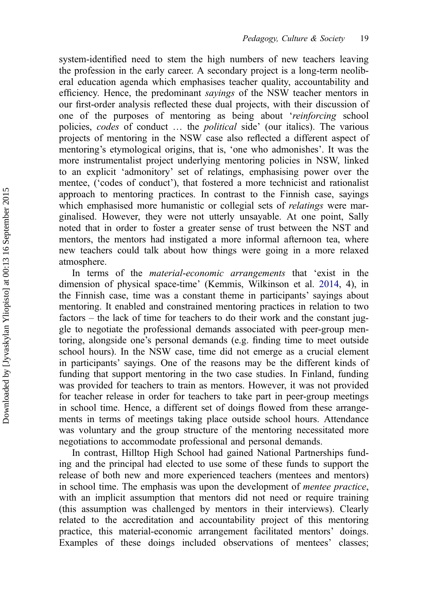system-identified need to stem the high numbers of new teachers leaving the profession in the early career. A secondary project is a long-term neoliberal education agenda which emphasises teacher quality, accountability and efficiency. Hence, the predominant sayings of the NSW teacher mentors in our first-order analysis reflected these dual projects, with their discussion of one of the purposes of mentoring as being about 'reinforcing school policies, codes of conduct … the political side' (our italics). The various projects of mentoring in the NSW case also reflected a different aspect of mentoring's etymological origins, that is, 'one who admonishes'. It was the more instrumentalist project underlying mentoring policies in NSW, linked to an explicit 'admonitory' set of relatings, emphasising power over the mentee, ('codes of conduct'), that fostered a more technicist and rationalist approach to mentoring practices. In contrast to the Finnish case, sayings which emphasised more humanistic or collegial sets of *relatings* were marginalised. However, they were not utterly unsayable. At one point, Sally noted that in order to foster a greater sense of trust between the NST and mentors, the mentors had instigated a more informal afternoon tea, where new teachers could talk about how things were going in a more relaxed atmosphere.

In terms of the material-economic arrangements that 'exist in the dimension of physical space-time' (Kemmis, Wilkinson et al. [2014,](#page-25-0) 4), in the Finnish case, time was a constant theme in participants' sayings about mentoring. It enabled and constrained mentoring practices in relation to two factors – the lack of time for teachers to do their work and the constant juggle to negotiate the professional demands associated with peer-group mentoring, alongside one's personal demands (e.g. finding time to meet outside school hours). In the NSW case, time did not emerge as a crucial element in participants' sayings. One of the reasons may be the different kinds of funding that support mentoring in the two case studies. In Finland, funding was provided for teachers to train as mentors. However, it was not provided for teacher release in order for teachers to take part in peer-group meetings in school time. Hence, a different set of doings flowed from these arrangements in terms of meetings taking place outside school hours. Attendance was voluntary and the group structure of the mentoring necessitated more negotiations to accommodate professional and personal demands.

In contrast, Hilltop High School had gained National Partnerships funding and the principal had elected to use some of these funds to support the release of both new and more experienced teachers (mentees and mentors) in school time. The emphasis was upon the development of mentee practice, with an implicit assumption that mentors did not need or require training (this assumption was challenged by mentors in their interviews). Clearly related to the accreditation and accountability project of this mentoring practice, this material-economic arrangement facilitated mentors' doings. Examples of these doings included observations of mentees' classes;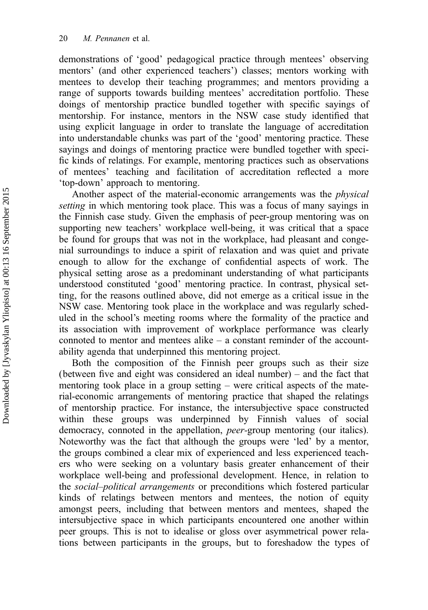demonstrations of 'good' pedagogical practice through mentees' observing mentors' (and other experienced teachers') classes; mentors working with mentees to develop their teaching programmes; and mentors providing a range of supports towards building mentees' accreditation portfolio. These doings of mentorship practice bundled together with specific sayings of mentorship. For instance, mentors in the NSW case study identified that using explicit language in order to translate the language of accreditation into understandable chunks was part of the 'good' mentoring practice. These sayings and doings of mentoring practice were bundled together with specific kinds of relatings. For example, mentoring practices such as observations of mentees' teaching and facilitation of accreditation reflected a more 'top-down' approach to mentoring.

Another aspect of the material-economic arrangements was the *physical* setting in which mentoring took place. This was a focus of many sayings in the Finnish case study. Given the emphasis of peer-group mentoring was on supporting new teachers' workplace well-being, it was critical that a space be found for groups that was not in the workplace, had pleasant and congenial surroundings to induce a spirit of relaxation and was quiet and private enough to allow for the exchange of confidential aspects of work. The physical setting arose as a predominant understanding of what participants understood constituted 'good' mentoring practice. In contrast, physical setting, for the reasons outlined above, did not emerge as a critical issue in the NSW case. Mentoring took place in the workplace and was regularly scheduled in the school's meeting rooms where the formality of the practice and its association with improvement of workplace performance was clearly connoted to mentor and mentees alike – a constant reminder of the accountability agenda that underpinned this mentoring project.

Both the composition of the Finnish peer groups such as their size (between five and eight was considered an ideal number) – and the fact that mentoring took place in a group setting – were critical aspects of the material-economic arrangements of mentoring practice that shaped the relatings of mentorship practice. For instance, the intersubjective space constructed within these groups was underpinned by Finnish values of social democracy, connoted in the appellation, peer-group mentoring (our italics). Noteworthy was the fact that although the groups were 'led' by a mentor, the groups combined a clear mix of experienced and less experienced teachers who were seeking on a voluntary basis greater enhancement of their workplace well-being and professional development. Hence, in relation to the social–political arrangements or preconditions which fostered particular kinds of relatings between mentors and mentees, the notion of equity amongst peers, including that between mentors and mentees, shaped the intersubjective space in which participants encountered one another within peer groups. This is not to idealise or gloss over asymmetrical power relations between participants in the groups, but to foreshadow the types of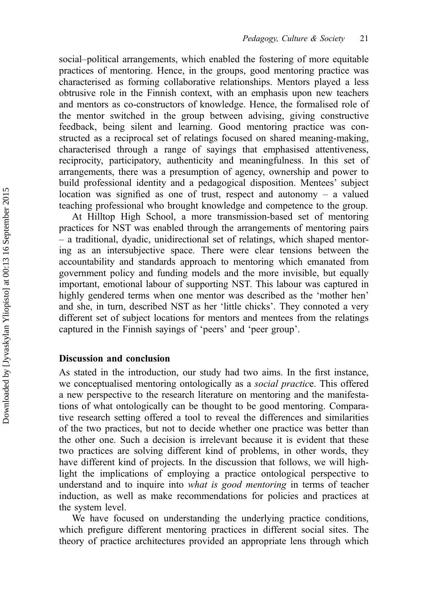social–political arrangements, which enabled the fostering of more equitable practices of mentoring. Hence, in the groups, good mentoring practice was characterised as forming collaborative relationships. Mentors played a less obtrusive role in the Finnish context, with an emphasis upon new teachers and mentors as co-constructors of knowledge. Hence, the formalised role of the mentor switched in the group between advising, giving constructive feedback, being silent and learning. Good mentoring practice was constructed as a reciprocal set of relatings focused on shared meaning-making, characterised through a range of sayings that emphasised attentiveness, reciprocity, participatory, authenticity and meaningfulness. In this set of arrangements, there was a presumption of agency, ownership and power to build professional identity and a pedagogical disposition. Mentees' subject location was signified as one of trust, respect and autonomy – a valued teaching professional who brought knowledge and competence to the group.

At Hilltop High School, a more transmission-based set of mentoring practices for NST was enabled through the arrangements of mentoring pairs – a traditional, dyadic, unidirectional set of relatings, which shaped mentoring as an intersubjective space. There were clear tensions between the accountability and standards approach to mentoring which emanated from government policy and funding models and the more invisible, but equally important, emotional labour of supporting NST. This labour was captured in highly gendered terms when one mentor was described as the 'mother hen' and she, in turn, described NST as her 'little chicks'. They connoted a very different set of subject locations for mentors and mentees from the relatings captured in the Finnish sayings of 'peers' and 'peer group'.

# Discussion and conclusion

As stated in the introduction, our study had two aims. In the first instance, we conceptualised mentoring ontologically as a social practice. This offered a new perspective to the research literature on mentoring and the manifestations of what ontologically can be thought to be good mentoring. Comparative research setting offered a tool to reveal the differences and similarities of the two practices, but not to decide whether one practice was better than the other one. Such a decision is irrelevant because it is evident that these two practices are solving different kind of problems, in other words, they have different kind of projects. In the discussion that follows, we will highlight the implications of employing a practice ontological perspective to understand and to inquire into *what is good mentoring* in terms of teacher induction, as well as make recommendations for policies and practices at the system level.

We have focused on understanding the underlying practice conditions, which prefigure different mentoring practices in different social sites. The theory of practice architectures provided an appropriate lens through which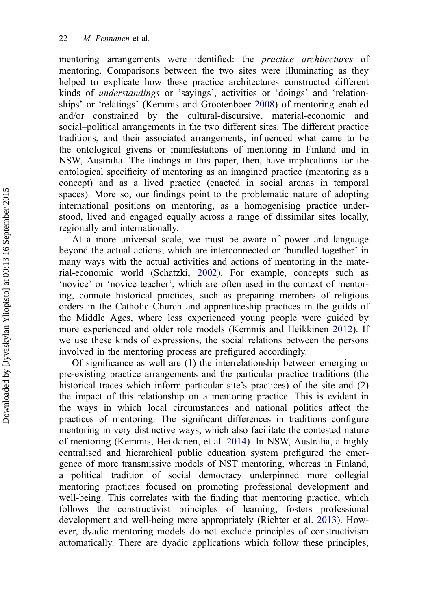mentoring arrangements were identified: the *practice architectures* of mentoring. Comparisons between the two sites were illuminating as they helped to explicate how these practice architectures constructed different kinds of understandings or 'sayings', activities or 'doings' and 'relationships' or 'relatings' (Kemmis and Grootenboer [2008\)](#page-25-0) of mentoring enabled and/or constrained by the cultural-discursive, material-economic and social–political arrangements in the two different sites. The different practice traditions, and their associated arrangements, influenced what came to be the ontological givens or manifestations of mentoring in Finland and in NSW, Australia. The findings in this paper, then, have implications for the ontological specificity of mentoring as an imagined practice (mentoring as a concept) and as a lived practice (enacted in social arenas in temporal spaces). More so, our findings point to the problematic nature of adopting international positions on mentoring, as a homogenising practice understood, lived and engaged equally across a range of dissimilar sites locally, regionally and internationally.

At a more universal scale, we must be aware of power and language beyond the actual actions, which are interconnected or 'bundled together' in many ways with the actual activities and actions of mentoring in the material-economic world (Schatzki, [2002](#page-26-0)). For example, concepts such as 'novice' or 'novice teacher', which are often used in the context of mentoring, connote historical practices, such as preparing members of religious orders in the Catholic Church and apprenticeship practices in the guilds of the Middle Ages, where less experienced young people were guided by more experienced and older role models (Kemmis and Heikkinen [2012\)](#page-25-0). If we use these kinds of expressions, the social relations between the persons involved in the mentoring process are prefigured accordingly.

Of significance as well are (1) the interrelationship between emerging or pre-existing practice arrangements and the particular practice traditions (the historical traces which inform particular site's practices) of the site and (2) the impact of this relationship on a mentoring practice. This is evident in the ways in which local circumstances and national politics affect the practices of mentoring. The significant differences in traditions configure mentoring in very distinctive ways, which also facilitate the contested nature of mentoring (Kemmis, Heikkinen, et al. [2014](#page-25-0)). In NSW, Australia, a highly centralised and hierarchical public education system prefigured the emergence of more transmissive models of NST mentoring, whereas in Finland, a political tradition of social democracy underpinned more collegial mentoring practices focused on promoting professional development and well-being. This correlates with the finding that mentoring practice, which follows the constructivist principles of learning, fosters professional development and well-being more appropriately (Richter et al. [2013](#page-26-0)). However, dyadic mentoring models do not exclude principles of constructivism automatically. There are dyadic applications which follow these principles,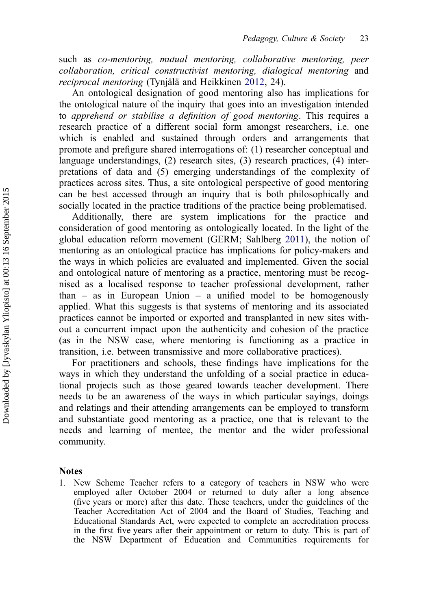<span id="page-22-0"></span>such as co-mentoring, mutual mentoring, collaborative mentoring, peer collaboration, critical constructivist mentoring, dialogical mentoring and reciprocal mentoring (Tynjälä and Heikkinen [2012](#page-26-0), 24).

An ontological designation of good mentoring also has implications for the ontological nature of the inquiry that goes into an investigation intended to apprehend or stabilise a definition of good mentoring. This requires a research practice of a different social form amongst researchers, i.e. one which is enabled and sustained through orders and arrangements that promote and prefigure shared interrogations of: (1) researcher conceptual and language understandings, (2) research sites, (3) research practices, (4) interpretations of data and (5) emerging understandings of the complexity of practices across sites. Thus, a site ontological perspective of good mentoring can be best accessed through an inquiry that is both philosophically and socially located in the practice traditions of the practice being problematised.

Additionally, there are system implications for the practice and consideration of good mentoring as ontologically located. In the light of the global education reform movement (GERM; Sahlberg [2011](#page-26-0)), the notion of mentoring as an ontological practice has implications for policy-makers and the ways in which policies are evaluated and implemented. Given the social and ontological nature of mentoring as a practice, mentoring must be recognised as a localised response to teacher professional development, rather than – as in European Union – a unified model to be homogenously applied. What this suggests is that systems of mentoring and its associated practices cannot be imported or exported and transplanted in new sites without a concurrent impact upon the authenticity and cohesion of the practice (as in the NSW case, where mentoring is functioning as a practice in transition, i.e. between transmissive and more collaborative practices).

For practitioners and schools, these findings have implications for the ways in which they understand the unfolding of a social practice in educational projects such as those geared towards teacher development. There needs to be an awareness of the ways in which particular sayings, doings and relatings and their attending arrangements can be employed to transform and substantiate good mentoring as a practice, one that is relevant to the needs and learning of mentee, the mentor and the wider professional community.

#### Notes

1. New Scheme Teacher refers to a category of teachers in NSW who were employed after October 2004 or returned to duty after a long absence (five years or more) after this date. These teachers, under the guidelines of the Teacher Accreditation Act of 2004 and the Board of Studies, Teaching and Educational Standards Act, were expected to complete an accreditation process in the first five years after their appointment or return to duty. This is part of the NSW Department of Education and Communities requirements for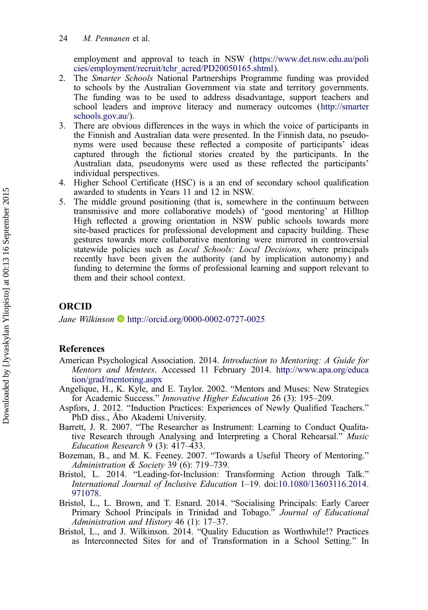<span id="page-23-0"></span>24 M. Pennanen et al.

employment and approval to teach in NSW [\(https://www.det.nsw.edu.au/poli](https://www.det.nsw.edu.au/policies/employment/recruit/tchr_acred/PD20050165.shtml) [cies/employment/recruit/tchr\\_acred/PD20050165.shtml](https://www.det.nsw.edu.au/policies/employment/recruit/tchr_acred/PD20050165.shtml)).

- 2. The Smarter Schools National Partnerships Programme funding was provided to schools by the Australian Government via state and territory governments. The funding was to be used to address disadvantage, support teachers and school leaders and improve literacy and numeracy outcomes [\(http://smarter](http://smarterschools.gov.au/) [schools.gov.au/](http://smarterschools.gov.au/)).
- 3. There are obvious differences in the ways in which the voice of participants in the Finnish and Australian data were presented. In the Finnish data, no pseudonyms were used because these reflected a composite of participants' ideas captured through the fictional stories created by the participants. In the Australian data, pseudonyms were used as these reflected the participants' individual perspectives.
- 4. Higher School Certificate (HSC) is a an end of secondary school qualification awarded to students in Years 11 and 12 in NSW.
- 5. The middle ground positioning (that is, somewhere in the continuum between transmissive and more collaborative models) of 'good mentoring' at Hilltop High reflected a growing orientation in NSW public schools towards more site-based practices for professional development and capacity building. These gestures towards more collaborative mentoring were mirrored in controversial statewide policies such as *Local Schools: Local Decisions*, where principals recently have been given the authority (and by implication autonomy) and funding to determine the forms of professional learning and support relevant to them and their school context.

## ORCID

Jane Wilkinson **b** <http://orcid.org/0000-0002-0727-0025>

#### References

- American Psychological Association. 2014. Introduction to Mentoring: A Guide for Mentors and Mentees. Accessed 11 February 2014. [http://www.apa.org/educa](http://www.apa.org/education/grad/mentoring.aspx) [tion/grad/mentoring.aspx](http://www.apa.org/education/grad/mentoring.aspx)
- Angelique, H., K. Kyle, and E. Taylor. 2002. "Mentors and Muses: New Strategies for Academic Success." Innovative Higher Education 26 (3): 195–209.
- Aspfors, J. 2012. "Induction Practices: Experiences of Newly Qualified Teachers." PhD diss., Åbo Akademi University.
- Barrett, J. R. 2007. "The Researcher as Instrument: Learning to Conduct Qualitative Research through Analysing and Interpreting a Choral Rehearsal." Music Education Research 9 (3): 417–433.
- Bozeman, B., and M. K. Feeney. 2007. "Towards a Useful Theory of Mentoring." Administration & Society 39 (6): 719-739.
- Bristol, L. 2014. "Leading-for-Inclusion: Transforming Action through Talk." International Journal of Inclusive Education 1–19. doi:[10.1080/13603116.2014.](http://dx.doi.org/10.1080/13603116.2014. 971078) [971078](http://dx.doi.org/10.1080/13603116.2014. 971078).
- Bristol, L., L. Brown, and T. Esnard. 2014. "Socialising Principals: Early Career Primary School Principals in Trinidad and Tobago." Journal of Educational Administration and History 46 (1): 17–37.
- Bristol, L., and J. Wilkinson. 2014. "Quality Education as Worthwhile!? Practices as Interconnected Sites for and of Transformation in a School Setting." In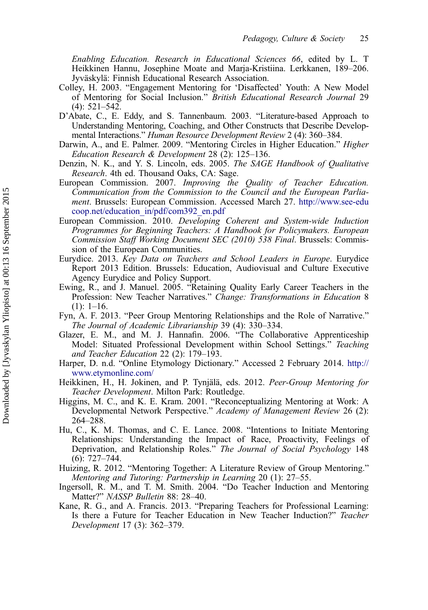<span id="page-24-0"></span>Enabling Education. Research in Educational Sciences 66, edited by L. T Heikkinen Hannu, Josephine Moate and Marja-Kristiina. Lerkkanen, 189–206. Jyväskylä: Finnish Educational Research Association.

- Colley, H. 2003. "Engagement Mentoring for 'Disaffected' Youth: A New Model of Mentoring for Social Inclusion." British Educational Research Journal 29 (4): 521–542.
- D'Abate, C., E. Eddy, and S. Tannenbaum. 2003. "Literature-based Approach to Understanding Mentoring, Coaching, and Other Constructs that Describe Developmental Interactions." Human Resource Development Review 2 (4): 360–384.
- Darwin, A., and E. Palmer. 2009. "Mentoring Circles in Higher Education." Higher Education Research & Development 28 (2): 125–136.
- Denzin, N. K., and Y. S. Lincoln, eds. 2005. The SAGE Handbook of Qualitative Research. 4th ed. Thousand Oaks, CA: Sage.
- European Commission. 2007. Improving the Quality of Teacher Education. Communication from the Commission to the Council and the European Parliament. Brussels: European Commission. Accessed March 27. [http://www.see-edu](http://www.see-educoop.net/education_in/pdf/com392_en.pdf) [coop.net/education\\_in/pdf/com392\\_en.pdf](http://www.see-educoop.net/education_in/pdf/com392_en.pdf)
- European Commission. 2010. Developing Coherent and System-wide Induction Programmes for Beginning Teachers: A Handbook for Policymakers. European Commission Staff Working Document SEC (2010) 538 Final. Brussels: Commission of the European Communities.
- Eurydice. 2013. Key Data on Teachers and School Leaders in Europe. Eurydice Report 2013 Edition. Brussels: Education, Audiovisual and Culture Executive Agency Eurydice and Policy Support.
- Ewing, R., and J. Manuel. 2005. "Retaining Quality Early Career Teachers in the Profession: New Teacher Narratives." Change: Transformations in Education 8  $(1): 1-16.$
- Fyn, A. F. 2013. "Peer Group Mentoring Relationships and the Role of Narrative." The Journal of Academic Librarianship 39 (4): 330–334.
- Glazer, E. M., and M. J. Hannafin. 2006. "The Collaborative Apprenticeship Model: Situated Professional Development within School Settings." Teaching and Teacher Education 22 (2): 179–193.
- Harper, D. n.d. "Online Etymology Dictionary." Accessed 2 February 2014. [http://](http://www.etymonline.com/) [www.etymonline.com/](http://www.etymonline.com/)
- Heikkinen, H., H. Jokinen, and P. Tynjälä, eds. 2012. Peer-Group Mentoring for Teacher Development. Milton Park: Routledge.
- Higgins, M. C., and K. E. Kram. 2001. "Reconceptualizing Mentoring at Work: A Developmental Network Perspective." Academy of Management Review 26 (2): 264–288.
- Hu, C., K. M. Thomas, and C. E. Lance. 2008. "Intentions to Initiate Mentoring Relationships: Understanding the Impact of Race, Proactivity, Feelings of Deprivation, and Relationship Roles." The Journal of Social Psychology 148 (6): 727–744.
- Huizing, R. 2012. "Mentoring Together: A Literature Review of Group Mentoring." Mentoring and Tutoring: Partnership in Learning 20 (1): 27–55.
- Ingersoll, R. M., and T. M. Smith. 2004. "Do Teacher Induction and Mentoring Matter?" NASSP Bulletin 88: 28–40.
- Kane, R. G., and A. Francis. 2013. "Preparing Teachers for Professional Learning: Is there a Future for Teacher Education in New Teacher Induction?" Teacher Development 17 (3): 362–379.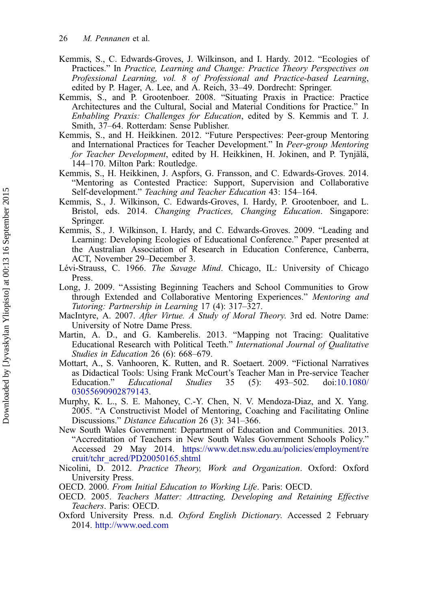- <span id="page-25-0"></span>Kemmis, S., C. Edwards-Groves, J. Wilkinson, and I. Hardy. 2012. "Ecologies of Practices." In Practice, Learning and Change: Practice Theory Perspectives on Professional Learning, vol. 8 of Professional and Practice-based Learning, edited by P. Hager, A. Lee, and A. Reich, 33–49. Dordrecht: Springer.
- Kemmis, S., and P. Grootenboer. 2008. "Situating Praxis in Practice: Practice Architectures and the Cultural, Social and Material Conditions for Practice." In Enbabling Praxis: Challenges for Education, edited by S. Kemmis and T. J. Smith, 37–64. Rotterdam: Sense Publisher.
- Kemmis, S., and H. Heikkinen. 2012. "Future Perspectives: Peer-group Mentoring and International Practices for Teacher Development." In Peer-group Mentoring for Teacher Development, edited by H. Heikkinen, H. Jokinen, and P. Tynjälä, 144–170. Milton Park: Routledge.
- Kemmis, S., H. Heikkinen, J. Aspfors, G. Fransson, and C. Edwards-Groves. 2014. "Mentoring as Contested Practice: Support, Supervision and Collaborative Self-development." Teaching and Teacher Education 43: 154–164.
- Kemmis, S., J. Wilkinson, C. Edwards-Groves, I. Hardy, P. Grootenboer, and L. Bristol, eds. 2014. Changing Practices, Changing Education. Singapore: Springer.
- Kemmis, S., J. Wilkinson, I. Hardy, and C. Edwards-Groves. 2009. "Leading and Learning: Developing Ecologies of Educational Conference." Paper presented at the Australian Association of Research in Education Conference, Canberra, ACT, November 29–December 3.
- Lévi-Strauss, C. 1966. The Savage Mind. Chicago, IL: University of Chicago Press.
- Long, J. 2009. "Assisting Beginning Teachers and School Communities to Grow through Extended and Collaborative Mentoring Experiences." Mentoring and Tutoring: Partnership in Learning 17 (4): 317–327.
- MacIntyre, A. 2007. After Virtue. A Study of Moral Theory. 3rd ed. Notre Dame: University of Notre Dame Press.
- Martin, A. D., and G. Kamberelis. 2013. "Mapping not Tracing: Qualitative Educational Research with Political Teeth." International Journal of Qualitative Studies in Education 26 (6): 668–679.
- Mottart, A., S. Vanhooren, K. Rutten, and R. Soetaert. 2009. "Fictional Narratives as Didactical Tools: Using Frank McCourt's Teacher Man in Pre-service Teacher Education." Educational Studies 35 (5): 493–502. doi[:10.1080/](http://dx.doi.org/10.1080/03055690902879143) [03055690902879143.](http://dx.doi.org/10.1080/03055690902879143)
- Murphy, K. L., S. E. Mahoney, C.-Y. Chen, N. V. Mendoza-Diaz, and X. Yang. 2005. "A Constructivist Model of Mentoring, Coaching and Facilitating Online Discussions." Distance Education 26 (3): 341–366.
- New South Wales Government: Department of Education and Communities. 2013. "Accreditation of Teachers in New South Wales Government Schools Policy." Accessed 29 May 2014. [https://www.det.nsw.edu.au/policies/employment/re](https://www.det.nsw.edu.au/policies/employment/recruit/tchr_acred/PD20050165.shtml) [cruit/tchr\\_acred/PD20050165.shtml](https://www.det.nsw.edu.au/policies/employment/recruit/tchr_acred/PD20050165.shtml)
- Nicolini, D. 2012. Practice Theory, Work and Organization. Oxford: Oxford University Press.
- OECD. 2000. From Initial Education to Working Life. Paris: OECD.
- OECD. 2005. Teachers Matter: Attracting, Developing and Retaining Effective Teachers. Paris: OECD.
- Oxford University Press. n.d. Oxford English Dictionary. Accessed 2 February 2014. <http://www.oed.com>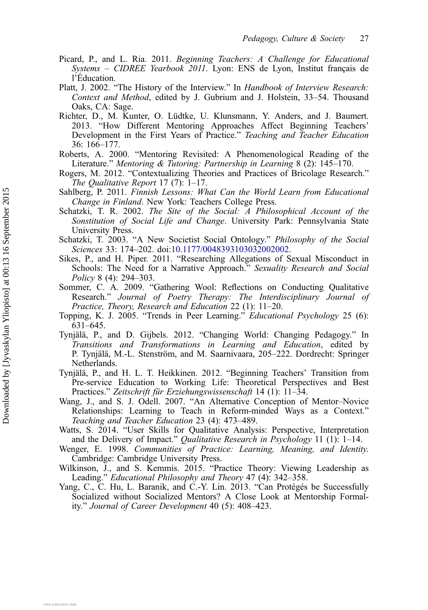- <span id="page-26-0"></span>Picard, P., and L. Ria. 2011. Beginning Teachers: A Challenge for Educational Systems – CIDREE Yearbook 2011. Lyon: ENS de Lyon, Institut français de l'Éducation.
- Platt, J. 2002. "The History of the Interview." In Handbook of Interview Research: Context and Method, edited by J. Gubrium and J. Holstein, 33–54. Thousand Oaks, CA: Sage.
- Richter, D., M. Kunter, O. Lüdtke, U. Klunsmann, Y. Anders, and J. Baumert. 2013. "How Different Mentoring Approaches Affect Beginning Teachers' Development in the First Years of Practice." Teaching and Teacher Education 36: 166–177.
- Roberts, A. 2000. "Mentoring Revisited: A Phenomenological Reading of the Literature." Mentoring & Tutoring: Partnership in Learning 8 (2): 145–170.
- Rogers, M. 2012. "Contextualizing Theories and Practices of Bricolage Research." The Qualitative Report 17  $(7)$ : 1–17.
- Sahlberg, P. 2011. Finnish Lessons: What Can the World Learn from Educational Change in Finland. New York: Teachers College Press.
- Schatzki, T. R. 2002. The Site of the Social: A Philosophical Account of the Sonstitution of Social Life and Change. University Park: Pennsylvania State University Press.
- Schatzki, T. 2003. "A New Societist Social Ontology." Philosophy of the Social Sciences 33: 174–202. doi[:10.1177/0048393103032002002](http://dx.doi.org/10.1177/0048393103032002002).
- Sikes, P., and H. Piper. 2011. "Researching Allegations of Sexual Misconduct in Schools: The Need for a Narrative Approach." Sexuality Research and Social Policy 8 (4): 294–303.
- Sommer, C. A. 2009. "Gathering Wool: Reflections on Conducting Qualitative Research." Journal of Poetry Therapy: The Interdisciplinary Journal of Practice, Theory, Research and Education 22 (1): 11–20.
- Topping, K. J. 2005. "Trends in Peer Learning." Educational Psychology 25 (6): 631–645.
- Tynjälä, P., and D. Gijbels. 2012. "Changing World: Changing Pedagogy." In Transitions and Transformations in Learning and Education, edited by P. Tynjälä, M.-L. Stenström, and M. Saarnivaara, 205–222. Dordrecht: Springer Netherlands.
- Tynjälä, P., and H. L. T. Heikkinen. 2012. "Beginning Teachers' Transition from Pre-service Education to Working Life: Theoretical Perspectives and Best Practices." Zeitschrift für Erziehungswissenschaft 14 (1): 11–34.
- Wang, J., and S. J. Odell. 2007. "An Alternative Conception of Mentor–Novice Relationships: Learning to Teach in Reform-minded Ways as a Context." Teaching and Teacher Education 23 (4): 473–489.
- Watts, S. 2014. "User Skills for Qualitative Analysis: Perspective, Interpretation and the Delivery of Impact." *Qualitative Research in Psychology* 11 (1): 1–14.
- Wenger, E. 1998. Communities of Practice: Learning, Meaning, and Identity. Cambridge: Cambridge University Press.
- Wilkinson, J., and S. Kemmis. 2015. "Practice Theory: Viewing Leadership as Leading." Educational Philosophy and Theory 47 (4): 342–358.
- Yang, C., C. Hu, L. Baranik, and C.-Y. Lin. 2013. "Can Protégés be Successfully Socialized without Socialized Mentors? A Close Look at Mentorship Formality." Journal of Career Development 40 (5): 408–423.